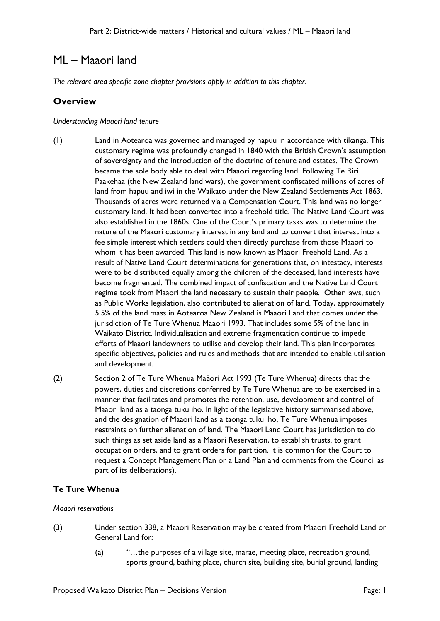# ML – Maaori land

*The relevant area specific zone chapter provisions apply in addition to this chapter.*

# **Overview**

#### *Understanding Maaori land tenure*

- (1) Land in Aotearoa was governed and managed by hapuu in accordance with tikanga. This customary regime was profoundly changed in 1840 with the British Crown's assumption of sovereignty and the introduction of the doctrine of tenure and estates. The Crown became the sole body able to deal with Maaori regarding land. Following Te Riri Paakehaa (the New Zealand land wars), the government confiscated millions of acres of land from hapuu and iwi in the Waikato under the New Zealand Settlements Act 1863. Thousands of acres were returned via a Compensation Court. This land was no longer customary land. It had been converted into a freehold title. The Native Land Court was also established in the 1860s. One of the Court's primary tasks was to determine the nature of the Maaori customary interest in any land and to convert that interest into a fee simple interest which settlers could then directly purchase from those Maaori to whom it has been awarded. This land is now known as Maaori Freehold Land. As a result of Native Land Court determinations for generations that, on intestacy, interests were to be distributed equally among the children of the deceased, land interests have become fragmented. The combined impact of confiscation and the Native Land Court regime took from Maaori the land necessary to sustain their people. Other laws, such as Public Works legislation, also contributed to alienation of land. Today, approximately 5.5% of the land mass in Aotearoa New Zealand is Maaori Land that comes under the jurisdiction of Te Ture Whenua Maaori 1993. That includes some 5% of the land in Waikato District. Individualisation and extreme fragmentation continue to impede efforts of Maaori landowners to utilise and develop their land. This plan incorporates specific objectives, policies and rules and methods that are intended to enable utilisation and development.
- (2) Section 2 of Te Ture Whenua Maāori Act 1993 (Te Ture Whenua) directs that the powers, duties and discretions conferred by Te Ture Whenua are to be exercised in a manner that facilitates and promotes the retention, use, development and control of Maaori land as a taonga tuku iho. In light of the legislative history summarised above, and the designation of Maaori land as a taonga tuku iho, Te Ture Whenua imposes restraints on further alienation of land. The Maaori Land Court has jurisdiction to do such things as set aside land as a Maaori Reservation, to establish trusts, to grant occupation orders, and to grant orders for partition. It is common for the Court to request a Concept Management Plan or a Land Plan and comments from the Council as part of its deliberations).

## **Te Ture Whenua**

#### *Maaori reservations*

- (3) Under section 338, a Maaori Reservation may be created from Maaori Freehold Land or General Land for:
	- (a) "…the purposes of a village site, marae, meeting place, recreation ground, sports ground, bathing place, church site, building site, burial ground, landing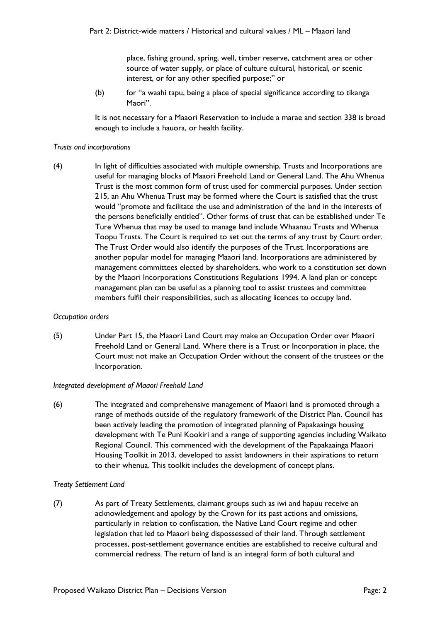place, fishing ground, spring, well, timber reserve, catchment area or other source of water supply, or place of culture cultural, historical, or scenic interest, or for any other specified purpose;" or

(b) for "a waahi tapu, being a place of special significance according to tikanga Maori".

It is not necessary for a Maaori Reservation to include a marae and section 338 is broad enough to include a hauora, or health facility.

#### *Trusts and incorporations*

(4) In light of difficulties associated with multiple ownership, Trusts and Incorporations are useful for managing blocks of Maaori Freehold Land or General Land. The Ahu Whenua Trust is the most common form of trust used for commercial purposes. Under section 215, an Ahu Whenua Trust may be formed where the Court is satisfied that the trust would "promote and facilitate the use and administration of the land in the interests of the persons beneficially entitled". Other forms of trust that can be established under Te Ture Whenua that may be used to manage land include Whaanau Trusts and Whenua Toopu Trusts. The Court is required to set out the terms of any trust by Court order. The Trust Order would also identify the purposes of the Trust. Incorporations are another popular model for managing Maaori land. Incorporations are administered by management committees elected by shareholders, who work to a constitution set down by the Maaori Incorporations Constitutions Regulations 1994. A land plan or concept management plan can be useful as a planning tool to assist trustees and committee members fulfil their responsibilities, such as allocating licences to occupy land.

#### *Occupation orders*

(5) Under Part 15, the Maaori Land Court may make an Occupation Order over Maaori Freehold Land or General Land. Where there is a Trust or Incorporation in place, the Court must not make an Occupation Order without the consent of the trustees or the Incorporation.

#### *Integrated development of Maaori Freehold Land*

(6) The integrated and comprehensive management of Maaori land is promoted through a range of methods outside of the regulatory framework of the District Plan. Council has been actively leading the promotion of integrated planning of Papakaainga housing development with Te Puni Kookiri and a range of supporting agencies including Waikato Regional Council. This commenced with the development of the Papakaainga Maaori Housing Toolkit in 2013, developed to assist landowners in their aspirations to return to their whenua. This toolkit includes the development of concept plans.

## *Treaty Settlement Land*

(7) As part of Treaty Settlements, claimant groups such as iwi and hapuu receive an acknowledgement and apology by the Crown for its past actions and omissions, particularly in relation to confiscation, the Native Land Court regime and other legislation that led to Maaori being dispossessed of their land. Through settlement processes, post-settlement governance entities are established to receive cultural and commercial redress. The return of land is an integral form of both cultural and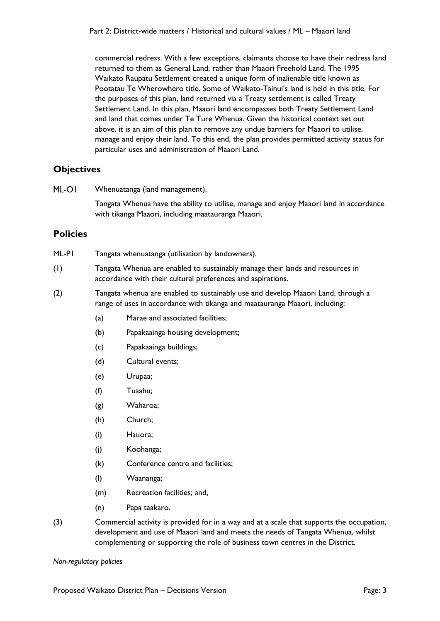commercial redress. With a few exceptions, claimants choose to have their redress land returned to them as General Land, rather than Maaori Freehold Land. The 1995 Waikato Raupatu Settlement created a unique form of inalienable title known as Pootatau Te Wherowhero title. Some of Waikato-Tainui's land is held in this title. For the purposes of this plan, land returned via a Treaty settlement is called Treaty Settlement Land. In this plan, Maaori land encompasses both Treaty Settlement Land and land that comes under Te Ture Whenua. Given the historical context set out above, it is an aim of this plan to remove any undue barriers for Maaori to utilise, manage and enjoy their land. To this end, the plan provides permitted activity status for particular uses and administration of Maaori Land.

## **Objectives**

ML-OI Whenuatanga (land management).

> Tangata Whenua have the ability to utilise, manage and enjoy Maaori land in accordance with tikanga Maaori, including maatauranga Maaori.

## **Policies**

- ML-P1 Tangata whenuatanga (utilisation by landowners).
- (1) Tangata Whenua are enabled to sustainably manage their lands and resources in accordance with their cultural preferences and aspirations.
- (2) Tangata whenua are enabled to sustainably use and develop Maaori Land, through a range of uses in accordance with tikanga and maatauranga Maaori, including:
	- (a) Marae and associated facilities;
	- (b) Papakaainga housing development;
	- (c) Papakaainga buildings;
	- (d) Cultural events;
	- (e) Urupaa;
	- (f) Tuaahu;
	- (g) Waharoa;
	- (h) Church;
	- (i) Hauora;
	- (j) Koohanga;
	- (k) Conference centre and facilities;
	- (l) Waananga;
	- (m) Recreation facilities; and,
	- (n) Papa taakaro.
- (3) Commercial activity is provided for in a way and at a scale that supports the occupation, development and use of Maaori land and meets the needs of Tangata Whenua, whilst complementing or supporting the role of business town centres in the District.

*Non-regulatory policies*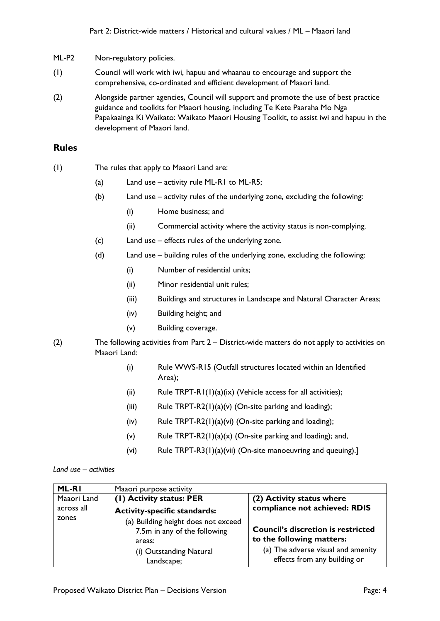#### ML-P2 Non-regulatory policies.

- (1) Council will work with iwi, hapuu and whaanau to encourage and support the comprehensive, co-ordinated and efficient development of Maaori land.
- (2) Alongside partner agencies, Council will support and promote the use of best practice guidance and toolkits for Maaori housing, including Te Kete Paaraha Mo Nga Papakaainga Ki Waikato: Waikato Maaori Housing Toolkit, to assist iwi and hapuu in the development of Maaori land.

## **Rules**

- (1) The rules that apply to Maaori Land are:
	- (a) Land use activity rule ML-R1 to ML-R5;
	- (b) Land use activity rules of the underlying zone, excluding the following:
		- (i) Home business; and
		- (ii) Commercial activity where the activity status is non-complying.
	- (c) Land use effects rules of the underlying zone.
	- (d) Land use building rules of the underlying zone, excluding the following:
		- (i) Number of residential units;
		- (ii) Minor residential unit rules;
		- (iii) Buildings and structures in Landscape and Natural Character Areas;
		- (iv) Building height; and
		- (v) Building coverage.
- (2) The following activities from Part 2 District-wide matters do not apply to activities on Maaori Land:
	- (i) Rule WWS-R15 (Outfall structures located within an Identified Area);
	- (ii) Rule TRPT-R1(1)(a)(ix) (Vehicle access for all activities);
	- (iii) Rule TRPT-R2(1)(a)(v) (On-site parking and loading);
	- (iv) Rule TRPT-R2(1)(a)(vi) (On-site parking and loading);
	- (v) Rule TRPT-R2(1)(a)(x) (On-site parking and loading); and,
	- (vi) Rule TRPT-R3(1)(a)(vii) (On-site manoeuvring and queuing).]
- *Land use activities*

| ML-RI       | Maaori purpose activity                                                       |                                                                        |
|-------------|-------------------------------------------------------------------------------|------------------------------------------------------------------------|
| Maaori Land | (1) Activity status: PER                                                      | (2) Activity status where                                              |
| across all  | <b>Activity-specific standards:</b>                                           | compliance not achieved: RDIS                                          |
| zones       | (a) Building height does not exceed<br>7.5m in any of the following<br>areas: | <b>Council's discretion is restricted</b><br>to the following matters: |
|             | (i) Outstanding Natural<br>Landscape;                                         | (a) The adverse visual and amenity<br>effects from any building or     |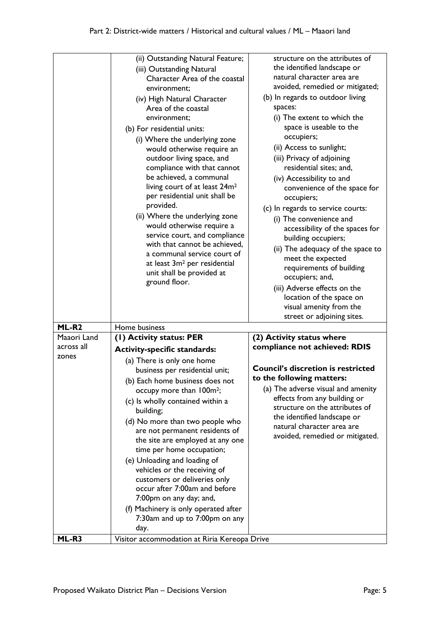|                   | (ii) Outstanding Natural Feature;<br>(iii) Outstanding Natural<br>Character Area of the coastal<br>environment;<br>(iv) High Natural Character<br>Area of the coastal<br>environment;<br>(b) For residential units:<br>(i) Where the underlying zone<br>would otherwise require an<br>outdoor living space, and<br>compliance with that cannot<br>be achieved, a communal<br>living court of at least 24m <sup>2</sup><br>per residential unit shall be<br>provided.<br>(ii) Where the underlying zone<br>would otherwise require a<br>service court, and compliance<br>with that cannot be achieved,<br>a communal service court of<br>at least 3m <sup>2</sup> per residential<br>unit shall be provided at<br>ground floor. | structure on the attributes of<br>the identified landscape or<br>natural character area are<br>avoided, remedied or mitigated;<br>(b) In regards to outdoor living<br>spaces:<br>(i) The extent to which the<br>space is useable to the<br>occupiers;<br>(ii) Access to sunlight;<br>(iii) Privacy of adjoining<br>residential sites; and,<br>(iv) Accessibility to and<br>convenience of the space for<br>occupiers;<br>(c) In regards to service courts:<br>(i) The convenience and<br>accessibility of the spaces for<br>building occupiers;<br>(ii) The adequacy of the space to<br>meet the expected<br>requirements of building<br>occupiers; and,<br>(iii) Adverse effects on the |
|-------------------|--------------------------------------------------------------------------------------------------------------------------------------------------------------------------------------------------------------------------------------------------------------------------------------------------------------------------------------------------------------------------------------------------------------------------------------------------------------------------------------------------------------------------------------------------------------------------------------------------------------------------------------------------------------------------------------------------------------------------------|------------------------------------------------------------------------------------------------------------------------------------------------------------------------------------------------------------------------------------------------------------------------------------------------------------------------------------------------------------------------------------------------------------------------------------------------------------------------------------------------------------------------------------------------------------------------------------------------------------------------------------------------------------------------------------------|
|                   |                                                                                                                                                                                                                                                                                                                                                                                                                                                                                                                                                                                                                                                                                                                                | location of the space on<br>visual amenity from the                                                                                                                                                                                                                                                                                                                                                                                                                                                                                                                                                                                                                                      |
|                   |                                                                                                                                                                                                                                                                                                                                                                                                                                                                                                                                                                                                                                                                                                                                | street or adjoining sites.                                                                                                                                                                                                                                                                                                                                                                                                                                                                                                                                                                                                                                                               |
| ML-R <sub>2</sub> | Home business                                                                                                                                                                                                                                                                                                                                                                                                                                                                                                                                                                                                                                                                                                                  |                                                                                                                                                                                                                                                                                                                                                                                                                                                                                                                                                                                                                                                                                          |
| Maaori Land       | (1) Activity status: PER                                                                                                                                                                                                                                                                                                                                                                                                                                                                                                                                                                                                                                                                                                       | (2) Activity status where                                                                                                                                                                                                                                                                                                                                                                                                                                                                                                                                                                                                                                                                |
| across all        | <b>Activity-specific standards:</b>                                                                                                                                                                                                                                                                                                                                                                                                                                                                                                                                                                                                                                                                                            | compliance not achieved: RDIS                                                                                                                                                                                                                                                                                                                                                                                                                                                                                                                                                                                                                                                            |
| zones             | (a) There is only one home                                                                                                                                                                                                                                                                                                                                                                                                                                                                                                                                                                                                                                                                                                     |                                                                                                                                                                                                                                                                                                                                                                                                                                                                                                                                                                                                                                                                                          |
|                   | business per residential unit;                                                                                                                                                                                                                                                                                                                                                                                                                                                                                                                                                                                                                                                                                                 | <b>Council's discretion is restricted</b>                                                                                                                                                                                                                                                                                                                                                                                                                                                                                                                                                                                                                                                |
|                   | (b) Each home business does not                                                                                                                                                                                                                                                                                                                                                                                                                                                                                                                                                                                                                                                                                                | to the following matters:                                                                                                                                                                                                                                                                                                                                                                                                                                                                                                                                                                                                                                                                |
|                   | occupy more than 100m <sup>2</sup> ;                                                                                                                                                                                                                                                                                                                                                                                                                                                                                                                                                                                                                                                                                           | (a) The adverse visual and amenity                                                                                                                                                                                                                                                                                                                                                                                                                                                                                                                                                                                                                                                       |
|                   | (c) Is wholly contained within a<br>building;                                                                                                                                                                                                                                                                                                                                                                                                                                                                                                                                                                                                                                                                                  | effects from any building or<br>structure on the attributes of                                                                                                                                                                                                                                                                                                                                                                                                                                                                                                                                                                                                                           |
|                   | (d) No more than two people who                                                                                                                                                                                                                                                                                                                                                                                                                                                                                                                                                                                                                                                                                                | the identified landscape or                                                                                                                                                                                                                                                                                                                                                                                                                                                                                                                                                                                                                                                              |
|                   | are not permanent residents of                                                                                                                                                                                                                                                                                                                                                                                                                                                                                                                                                                                                                                                                                                 | natural character area are                                                                                                                                                                                                                                                                                                                                                                                                                                                                                                                                                                                                                                                               |
|                   | the site are employed at any one                                                                                                                                                                                                                                                                                                                                                                                                                                                                                                                                                                                                                                                                                               | avoided, remedied or mitigated.                                                                                                                                                                                                                                                                                                                                                                                                                                                                                                                                                                                                                                                          |
|                   | time per home occupation;                                                                                                                                                                                                                                                                                                                                                                                                                                                                                                                                                                                                                                                                                                      |                                                                                                                                                                                                                                                                                                                                                                                                                                                                                                                                                                                                                                                                                          |
|                   | (e) Unloading and loading of                                                                                                                                                                                                                                                                                                                                                                                                                                                                                                                                                                                                                                                                                                   |                                                                                                                                                                                                                                                                                                                                                                                                                                                                                                                                                                                                                                                                                          |
|                   | vehicles or the receiving of                                                                                                                                                                                                                                                                                                                                                                                                                                                                                                                                                                                                                                                                                                   |                                                                                                                                                                                                                                                                                                                                                                                                                                                                                                                                                                                                                                                                                          |
|                   | customers or deliveries only                                                                                                                                                                                                                                                                                                                                                                                                                                                                                                                                                                                                                                                                                                   |                                                                                                                                                                                                                                                                                                                                                                                                                                                                                                                                                                                                                                                                                          |
|                   | occur after 7:00am and before                                                                                                                                                                                                                                                                                                                                                                                                                                                                                                                                                                                                                                                                                                  |                                                                                                                                                                                                                                                                                                                                                                                                                                                                                                                                                                                                                                                                                          |
|                   | 7:00pm on any day; and,<br>(f) Machinery is only operated after                                                                                                                                                                                                                                                                                                                                                                                                                                                                                                                                                                                                                                                                |                                                                                                                                                                                                                                                                                                                                                                                                                                                                                                                                                                                                                                                                                          |
|                   | 7:30am and up to 7:00pm on any                                                                                                                                                                                                                                                                                                                                                                                                                                                                                                                                                                                                                                                                                                 |                                                                                                                                                                                                                                                                                                                                                                                                                                                                                                                                                                                                                                                                                          |
| ML-R3             | day.<br>Visitor accommodation at Riria Kereopa Drive                                                                                                                                                                                                                                                                                                                                                                                                                                                                                                                                                                                                                                                                           |                                                                                                                                                                                                                                                                                                                                                                                                                                                                                                                                                                                                                                                                                          |